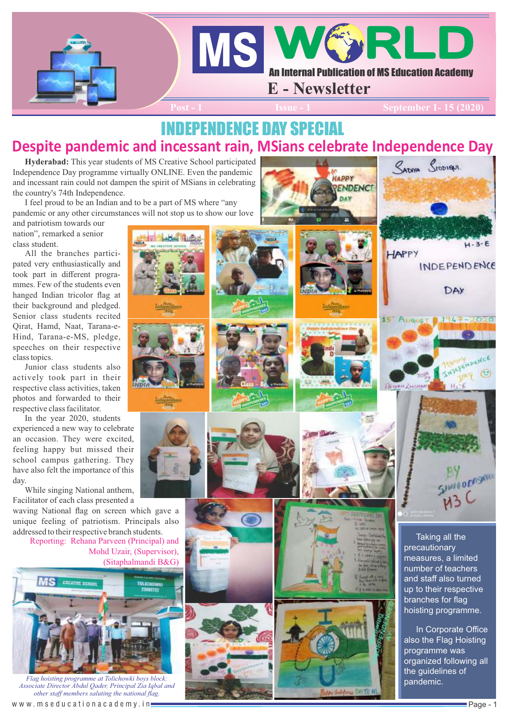

### INDEPENDENCE DAY SPECIAL **Despite pandemic and incessant rain, MSians celebrate Independence Day**

**Hyderabad:** This year students of MS Creative School participated Independence Day programme virtually ONLINE. Even the pandemic and incessant rain could not dampen the spirit of MSians in celebrating the country's 74th Independence.

I feel proud to be an Indian and to be a part of MS where "any pandemic or any other circumstances will not stop us to show our love

and patriotism towards our nation", remarked a senior class student.

All the branches participated very enthusiastically and took part in different programmes. Few of the students even hanged Indian tricolor flag at their background and pledged. Senior class students recited Qirat, Hamd, Naat, Tarana-e-Hind, Tarana-e-MS, pledge, speeches on their respective class topics.

Junior class students also actively took part in their respective class activities, taken photos and forwarded to their respective class facilitator.

In the year 2020, students

experienced a new way to celebrate an occasion. They were excited, feeling happy but missed their school campus gathering. They have also felt the importance of this day.

While singing National anthem, Facilitator of each class presented a

waving National flag on screen which gave a unique feeling of patriotism. Principals also addressed to their respective branch students.

Reporting: Rehana Parveen (Principal) and Mohd Uzair, (Supervisor), (Sitaphalmandi B&G)



*Flag hoisting programme at Tolichowki boys block: Associate Director Abdul Qader, Principal Zia Iqbal and other staff members saluting the national flag.* 

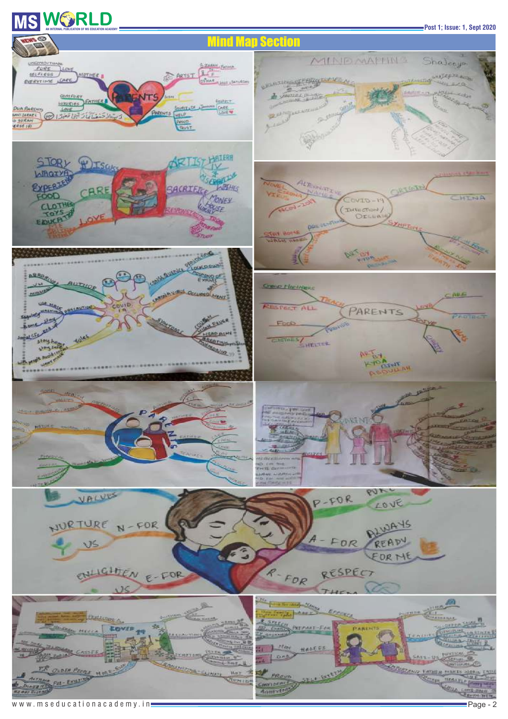# $\textbf{MS} \textbf{WS} = \textbf{R} \textbf{MS} \textbf{MS} \textbf{MS} \textbf{MS} \textbf{MS} \textbf{MS} \textbf{MS} \textbf{MS} \textbf{MS} \textbf{MS} \textbf{MS} \textbf{MS} \textbf{MS} \textbf{MS} \textbf{MS} \textbf{MS} \textbf{MS} \textbf{MS} \textbf{MS} \textbf{MS} \textbf{MS} \textbf{MS} \textbf{MS} \textbf{MS} \textbf{MS} \textbf{MS} \textbf{MS} \textbf{MS} \textbf{MS} \textbf{MS} \textbf{MS} \textbf{MS} \textbf{MS} \textbf{$

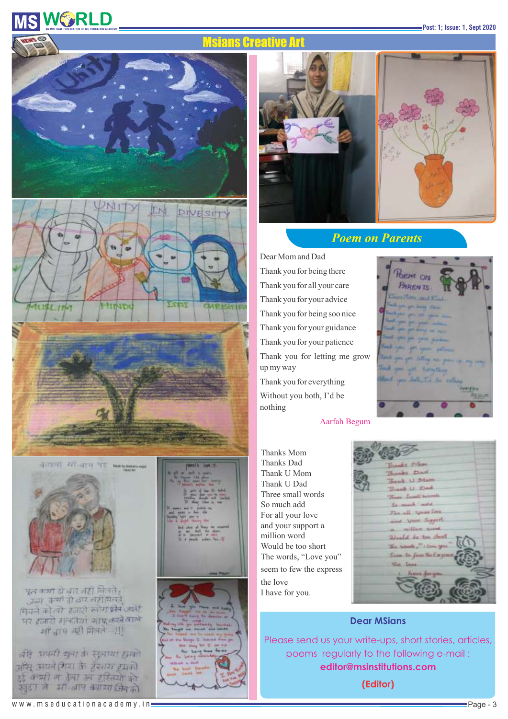# **WIGHT REDUCATION**<br>AN INTERNAL PUBLICATION OF MS EDUCATION ACADEMY

#### Msians Creative Art









और अपनी कुना के सुलाया हमको अस्ति अयमे (गया के इंस्कार्य हमकी हर्द कभी म हेला उन हरितयों को खुटा ने *भी-बाप क्याया जि*नको





### *Poem on Parents*

Thank you for being soo nice Without you both, I'd be nothing Thank you for being there Thank you for your patience Thank you for all your care Thank you for your advice Thank you for your guidance Thank you for everything Thank you for letting me grow up my way Dear Mom and Dad



#### Aarfah Begum

Thanks Mom Thank U Mom Three small words For all your love Would be too short Thanks Dad Thank U Dad So much add and your support a million word The words, "Love you" seem to few the express the love I have for you.

- 6 - Seppert d be too it

#### **Dear MSians**

Please send us your write-ups, short stories, articles, poems regularly to the following e-mail : **editor@msinstitutions.com**

**(Editor)**